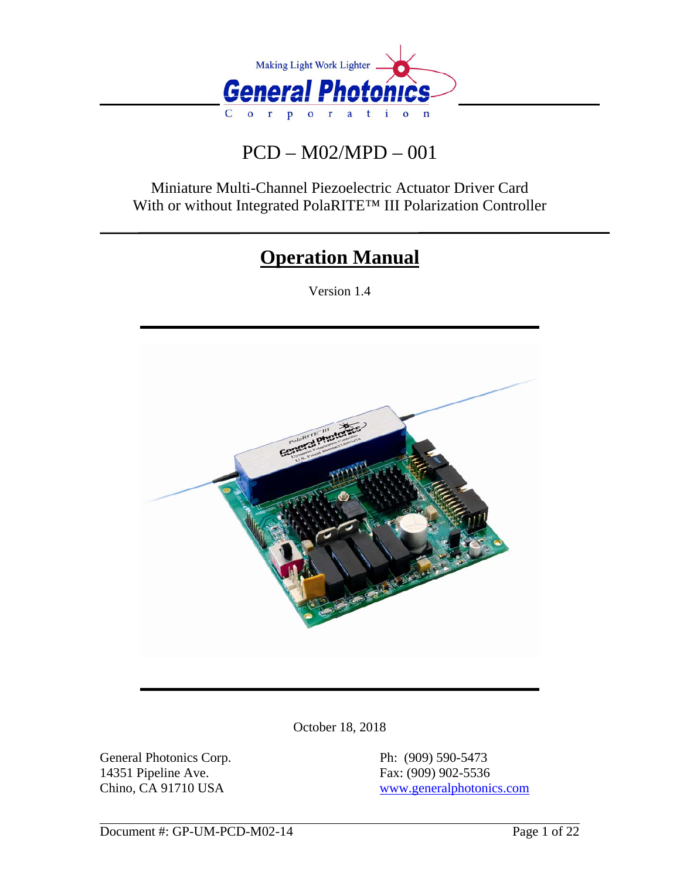

# PCD – M02/MPD – 001

Miniature Multi-Channel Piezoelectric Actuator Driver Card With or without Integrated PolaRITE™ III Polarization Controller

# **Operation Manual**

Version 1.4



October 18, 2018

General Photonics Corp. Ph: (909) 590-5473 14351 Pipeline Ave. Fax: (909) 902-5536

Chino, CA 91710 USA [www.generalphotonics.com](http://www.generalphotonics.com/)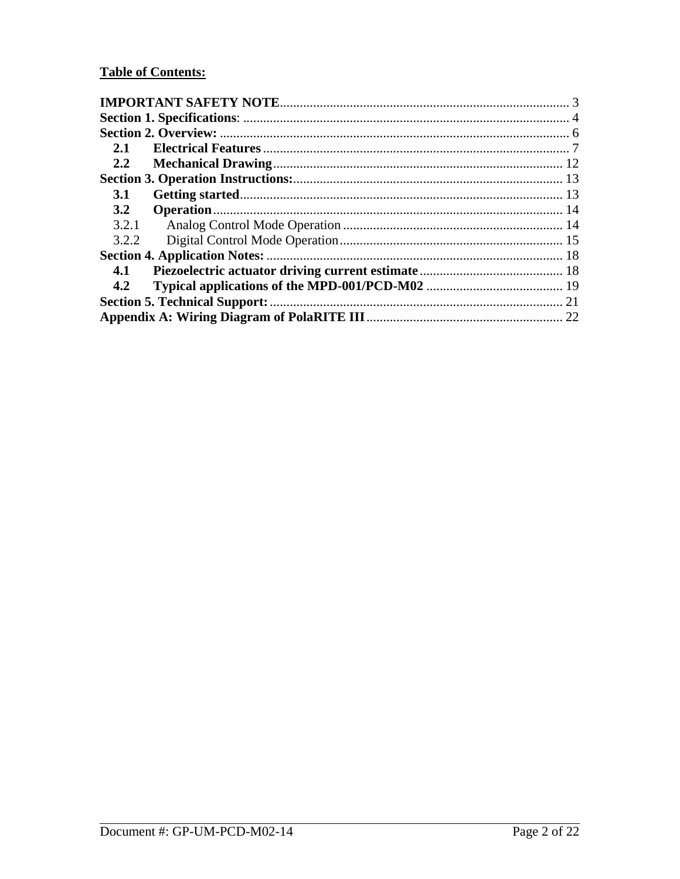## **Table of Contents:**

| 2.1        |  |  |  |
|------------|--|--|--|
| 2.2        |  |  |  |
|            |  |  |  |
| <b>3.1</b> |  |  |  |
| 3.2        |  |  |  |
| 3.2.1      |  |  |  |
| 3.2.2      |  |  |  |
|            |  |  |  |
| 4.1        |  |  |  |
| 4.2        |  |  |  |
|            |  |  |  |
|            |  |  |  |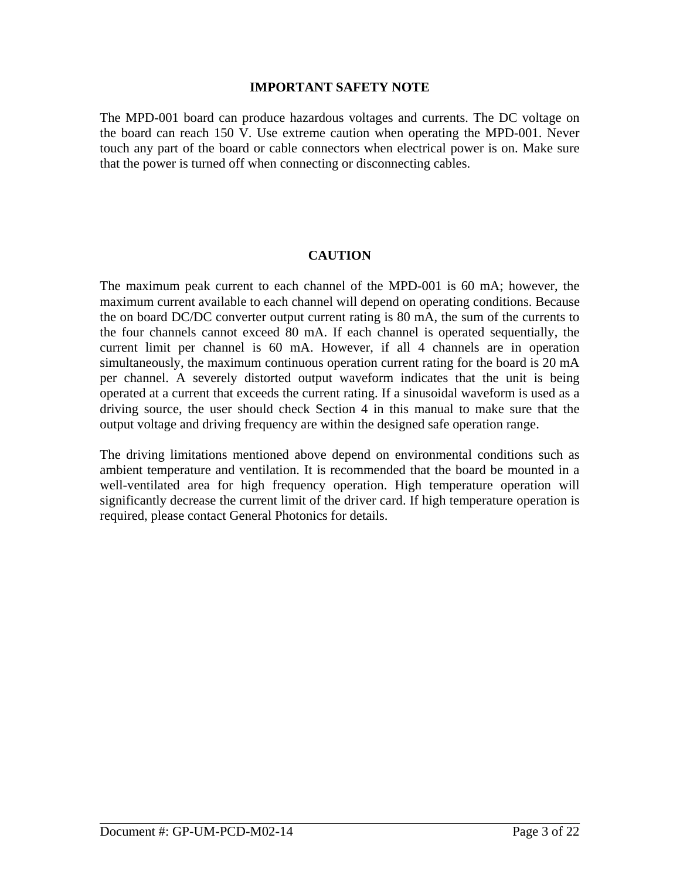#### **IMPORTANT SAFETY NOTE**

<span id="page-2-0"></span>The MPD-001 board can produce hazardous voltages and currents. The DC voltage on the board can reach 150 V. Use extreme caution when operating the MPD-001. Never touch any part of the board or cable connectors when electrical power is on. Make sure that the power is turned off when connecting or disconnecting cables.

### **CAUTION**

The maximum peak current to each channel of the MPD-001 is 60 mA; however, the maximum current available to each channel will depend on operating conditions. Because the on board DC/DC converter output current rating is 80 mA, the sum of the currents to the four channels cannot exceed 80 mA. If each channel is operated sequentially, the current limit per channel is 60 mA. However, if all 4 channels are in operation simultaneously, the maximum continuous operation current rating for the board is 20 mA per channel. A severely distorted output waveform indicates that the unit is being operated at a current that exceeds the current rating. If a sinusoidal waveform is used as a driving source, the user should check Section 4 in this manual to make sure that the output voltage and driving frequency are within the designed safe operation range.

The driving limitations mentioned above depend on environmental conditions such as ambient temperature and ventilation. It is recommended that the board be mounted in a well-ventilated area for high frequency operation. High temperature operation will significantly decrease the current limit of the driver card. If high temperature operation is required, please contact General Photonics for details.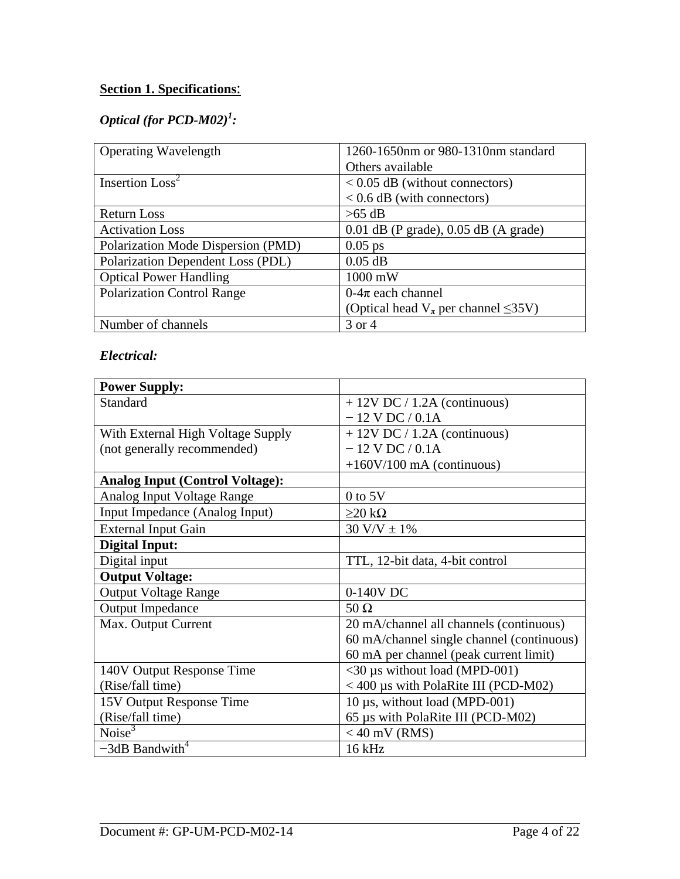## <span id="page-3-0"></span>**Section 1. Specifications**:

## *Optical (for PCD-M02)<sup>1</sup> :*

| <b>Operating Wavelength</b>        | 1260-1650nm or 980-1310nm standard              |
|------------------------------------|-------------------------------------------------|
|                                    | Others available                                |
| Insertion Loss <sup>2</sup>        | $< 0.05$ dB (without connectors)                |
|                                    | $< 0.6$ dB (with connectors)                    |
| <b>Return Loss</b>                 | $>65$ dB                                        |
| <b>Activation Loss</b>             | $0.01$ dB (P grade), $0.05$ dB (A grade)        |
| Polarization Mode Dispersion (PMD) | $0.05$ ps                                       |
| Polarization Dependent Loss (PDL)  | $0.05$ dB                                       |
| <b>Optical Power Handling</b>      | $1000$ mW                                       |
| <b>Polarization Control Range</b>  | $0-4\pi$ each channel                           |
|                                    | (Optical head $V_{\pi}$ per channel $\leq$ 35V) |
| Number of channels                 | 3 or 4                                          |

## *Electrical:*

| <b>Power Supply:</b>                   |                                           |
|----------------------------------------|-------------------------------------------|
| Standard                               | $+ 12V$ DC / 1.2A (continuous)            |
|                                        | $-12$ V DC / 0.1A                         |
| With External High Voltage Supply      | $+ 12V$ DC $/ 1.2A$ (continuous)          |
| (not generally recommended)            | $-12$ V DC / 0.1A                         |
|                                        | $+160V/100$ mA (continuous)               |
| <b>Analog Input (Control Voltage):</b> |                                           |
| Analog Input Voltage Range             | $0$ to $5V$                               |
| Input Impedance (Analog Input)         | $\geq$ 20 kΩ                              |
| <b>External Input Gain</b>             | $30 \text{ V/V} \pm 1\%$                  |
| <b>Digital Input:</b>                  |                                           |
| Digital input                          | TTL, 12-bit data, 4-bit control           |
| <b>Output Voltage:</b>                 |                                           |
| <b>Output Voltage Range</b>            | 0-140V DC                                 |
| <b>Output Impedance</b>                | $50 \Omega$                               |
| Max. Output Current                    | 20 mA/channel all channels (continuous)   |
|                                        | 60 mA/channel single channel (continuous) |
|                                        | 60 mA per channel (peak current limit)    |
| 140V Output Response Time              | $<$ 30 µs without load (MPD-001)          |
| (Rise/fall time)                       | $<$ 400 µs with PolaRite III (PCD-M02)    |
| 15V Output Response Time               | 10 μs, without load (MPD-001)             |
| (Rise/fall time)                       | 65 us with PolaRite III (PCD-M02)         |
| Noise <sup>3</sup>                     | $<$ 40 mV (RMS)                           |
| $-3dB$ Bandwith <sup>4</sup>           | $16$ kHz                                  |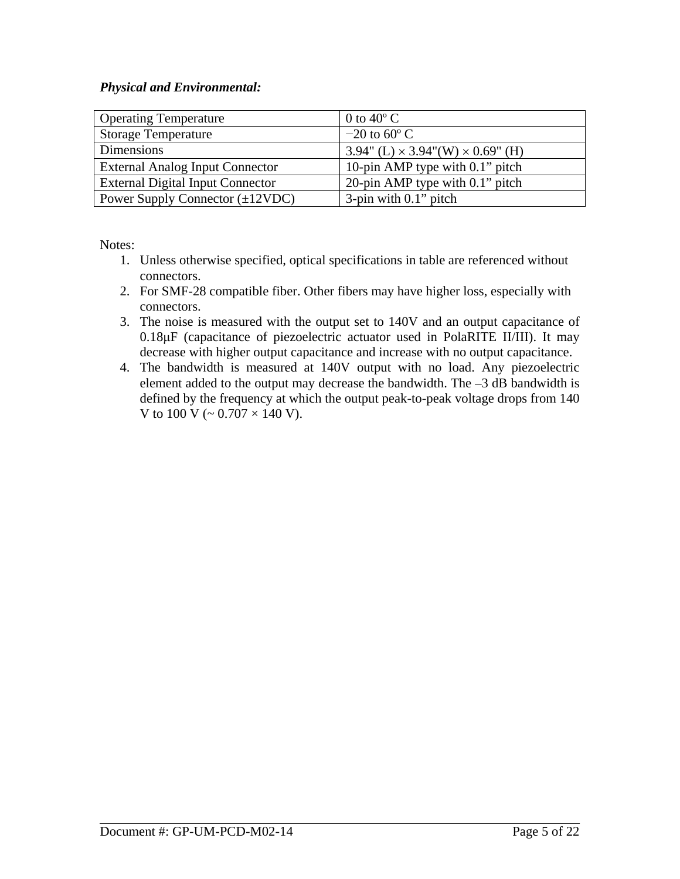## *Physical and Environmental:*

| <b>Operating Temperature</b>            | 0 to 40 $^{\circ}$ C                               |
|-----------------------------------------|----------------------------------------------------|
| <b>Storage Temperature</b>              | $-20$ to 60 $\degree$ C                            |
| Dimensions                              | $3.94$ " (L) $\times$ 3.94" (W) $\times$ 0.69" (H) |
| <b>External Analog Input Connector</b>  | 10-pin AMP type with 0.1" pitch                    |
| <b>External Digital Input Connector</b> | 20-pin AMP type with 0.1" pitch                    |
| Power Supply Connector $(\pm 12VDC)$    | $3$ -pin with $0.1$ " pitch                        |

Notes:

- 1. Unless otherwise specified, optical specifications in table are referenced without connectors.
- 2. For SMF-28 compatible fiber. Other fibers may have higher loss, especially with connectors.
- 3. The noise is measured with the output set to 140V and an output capacitance of 0.18μF (capacitance of piezoelectric actuator used in PolaRITE II/III). It may decrease with higher output capacitance and increase with no output capacitance.
- 4. The bandwidth is measured at 140V output with no load. Any piezoelectric element added to the output may decrease the bandwidth. The –3 dB bandwidth is defined by the frequency at which the output peak-to-peak voltage drops from 140 V to  $100 \text{ V}$  (~  $0.707 \times 140 \text{ V}$ ).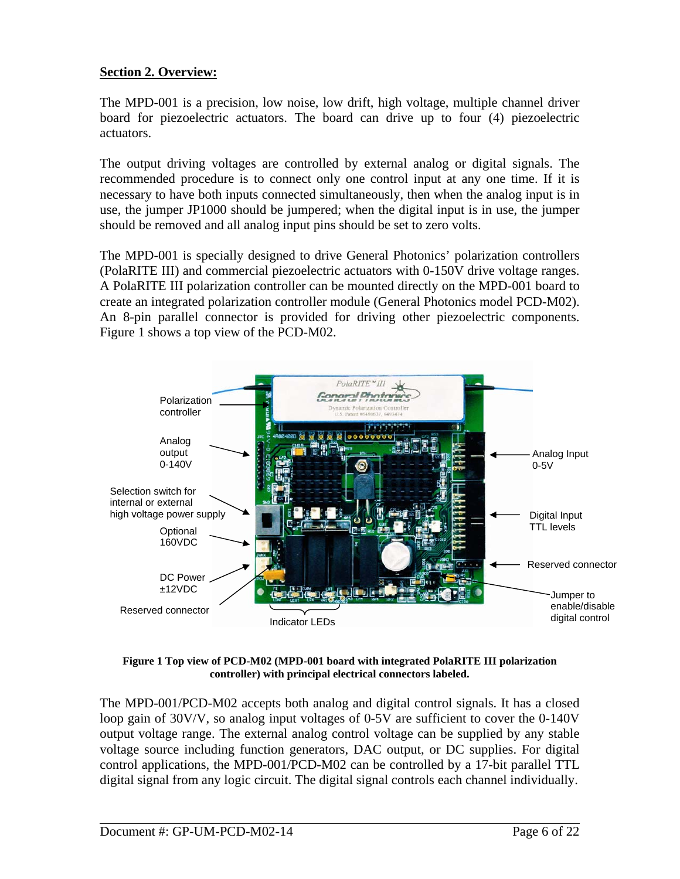## <span id="page-5-0"></span>**Section 2. Overview:**

The MPD-001 is a precision, low noise, low drift, high voltage, multiple channel driver board for piezoelectric actuators. The board can drive up to four (4) piezoelectric actuators.

The output driving voltages are controlled by external analog or digital signals. The recommended procedure is to connect only one control input at any one time. If it is necessary to have both inputs connected simultaneously, then when the analog input is in use, the jumper JP1000 should be jumpered; when the digital input is in use, the jumper should be removed and all analog input pins should be set to zero volts.

The MPD-001 is specially designed to drive General Photonics' polarization controllers (PolaRITE III) and commercial piezoelectric actuators with 0-150V drive voltage ranges. A PolaRITE III polarization controller can be mounted directly on the MPD-001 board to create an integrated polarization controller module (General Photonics model PCD-M02). An 8-pin parallel connector is provided for driving other piezoelectric components. [Figure 1](#page-5-1) shows a top view of the PCD-M02.



**Figure 1 Top view of PCD-M02 (MPD-001 board with integrated PolaRITE III polarization controller) with principal electrical connectors labeled.** 

<span id="page-5-1"></span>The MPD-001/PCD-M02 accepts both analog and digital control signals. It has a closed loop gain of 30V/V, so analog input voltages of 0-5V are sufficient to cover the 0-140V output voltage range. The external analog control voltage can be supplied by any stable voltage source including function generators, DAC output, or DC supplies. For digital control applications, the MPD-001/PCD-M02 can be controlled by a 17-bit parallel TTL digital signal from any logic circuit. The digital signal controls each channel individually.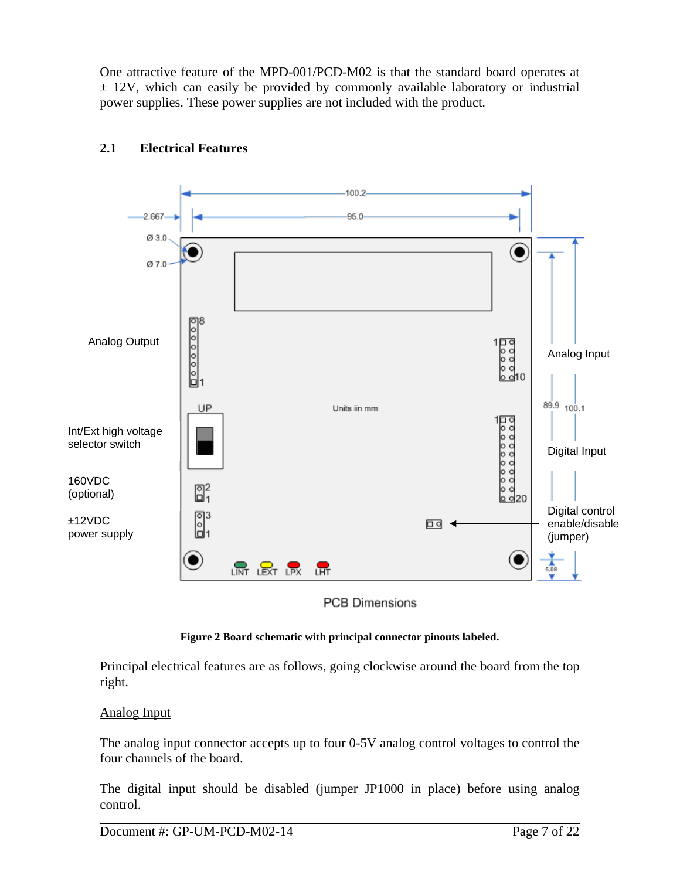<span id="page-6-0"></span>One attractive feature of the MPD-001/PCD-M02 is that the standard board operates at  $\pm$  12V, which can easily be provided by commonly available laboratory or industrial power supplies. These power supplies are not included with the product.



## **2.1 Electrical Features**

**PCB Dimensions** 



<span id="page-6-1"></span>Principal electrical features are as follows, going clockwise around the board from the top right.

## Analog Input

The analog input connector accepts up to four 0-5V analog control voltages to control the four channels of the board.

The digital input should be disabled (jumper JP1000 in place) before using analog control.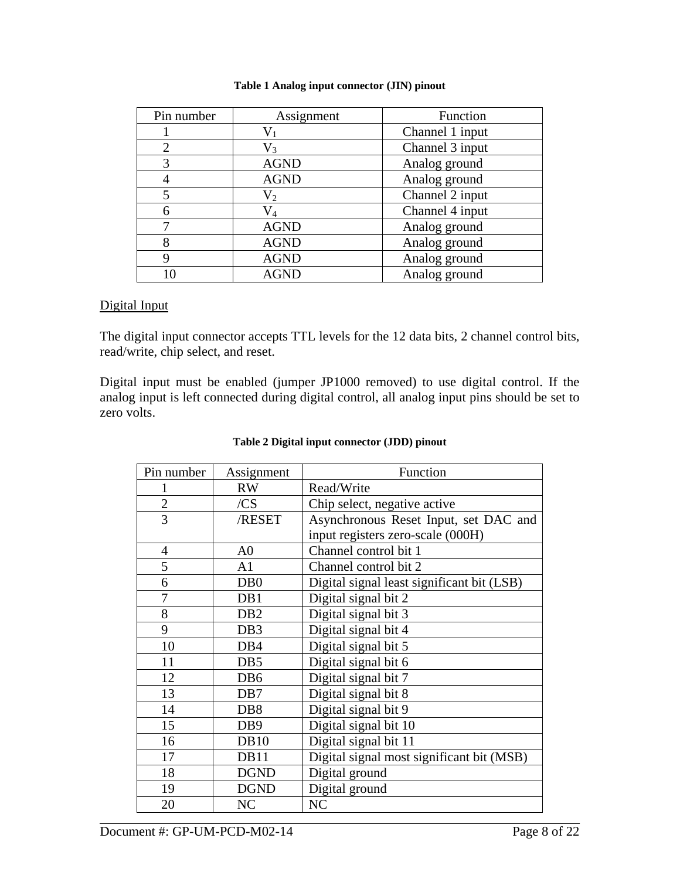<span id="page-7-0"></span>

| Pin number | Assignment  | Function        |
|------------|-------------|-----------------|
|            |             | Channel 1 input |
|            | $\rm V_{3}$ | Channel 3 input |
| 3          | <b>AGND</b> | Analog ground   |
|            | <b>AGND</b> | Analog ground   |
|            | $V_2$       | Channel 2 input |
| 6          | V,          | Channel 4 input |
|            | <b>AGND</b> | Analog ground   |
| 8          | <b>AGND</b> | Analog ground   |
| Q          | <b>AGND</b> | Analog ground   |
| 10         | <b>AGND</b> | Analog ground   |

#### **Table 1 Analog input connector (JIN) pinout**

#### Digital Input

The digital input connector accepts TTL levels for the 12 data bits, 2 channel control bits, read/write, chip select, and reset.

<span id="page-7-1"></span>Digital input must be enabled (jumper JP1000 removed) to use digital control. If the analog input is left connected during digital control, all analog input pins should be set to zero volts.

| Pin number     | Assignment       | Function                                   |
|----------------|------------------|--------------------------------------------|
|                | <b>RW</b>        | Read/Write                                 |
| $\mathbf{2}$   | /CS              | Chip select, negative active               |
| $\overline{3}$ | /RESET           | Asynchronous Reset Input, set DAC and      |
|                |                  | input registers zero-scale (000H)          |
| $\overline{4}$ | A <sub>0</sub>   | Channel control bit 1                      |
| 5              | A1               | Channel control bit 2                      |
| 6              | D <sub>B</sub> 0 | Digital signal least significant bit (LSB) |
| 7              | DB1              | Digital signal bit 2                       |
| 8              | D <sub>B2</sub>  | Digital signal bit 3                       |
| 9              | DB <sub>3</sub>  | Digital signal bit 4                       |
| 10             | DB4              | Digital signal bit 5                       |
| 11             | DB <sub>5</sub>  | Digital signal bit 6                       |
| 12             | DB <sub>6</sub>  | Digital signal bit 7                       |
| 13             | DB7              | Digital signal bit 8                       |
| 14             | DB <sub>8</sub>  | Digital signal bit 9                       |
| 15             | DB <sub>9</sub>  | Digital signal bit 10                      |
| 16             | <b>DB10</b>      | Digital signal bit 11                      |
| 17             | DB11             | Digital signal most significant bit (MSB)  |
| 18             | <b>DGND</b>      | Digital ground                             |
| 19             | <b>DGND</b>      | Digital ground                             |
| 20             | NC               | NC                                         |

#### **Table 2 Digital input connector (JDD) pinout**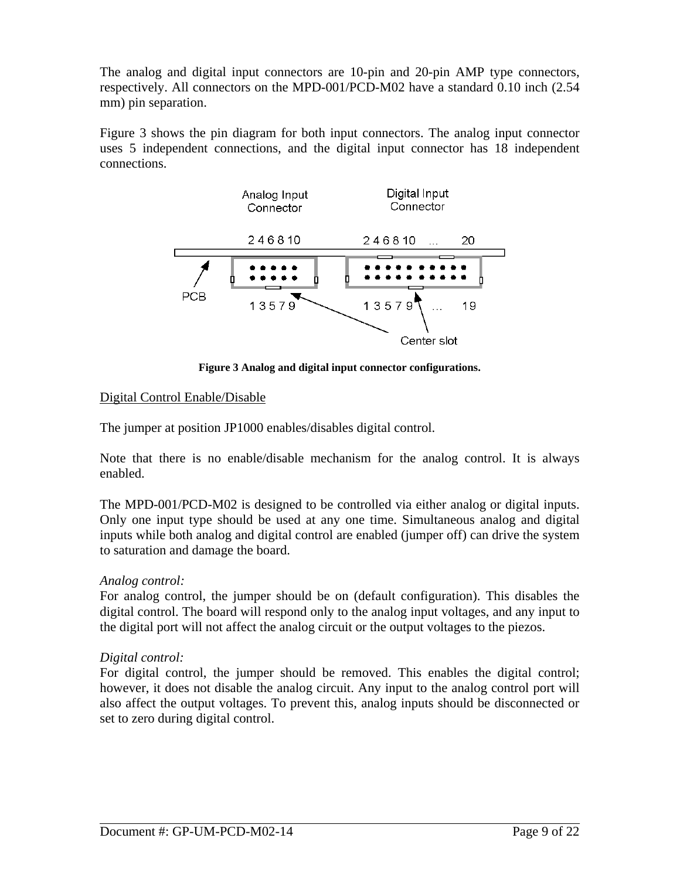The analog and digital input connectors are 10-pin and 20-pin AMP type connectors, respectively. All connectors on the MPD-001/PCD-M02 have a standard 0.10 inch (2.54 mm) pin separation.

[Figure 3](#page-8-0) shows the pin diagram for both input connectors. The analog input connector uses 5 independent connections, and the digital input connector has 18 independent connections.



**Figure 3 Analog and digital input connector configurations.** 

## <span id="page-8-0"></span>Digital Control Enable/Disable

The jumper at position JP1000 enables/disables digital control.

Note that there is no enable/disable mechanism for the analog control. It is always enabled.

The MPD-001/PCD-M02 is designed to be controlled via either analog or digital inputs. Only one input type should be used at any one time. Simultaneous analog and digital inputs while both analog and digital control are enabled (jumper off) can drive the system to saturation and damage the board.

## *Analog control:*

For analog control, the jumper should be on (default configuration). This disables the digital control. The board will respond only to the analog input voltages, and any input to the digital port will not affect the analog circuit or the output voltages to the piezos.

## *Digital control:*

For digital control, the jumper should be removed. This enables the digital control; however, it does not disable the analog circuit. Any input to the analog control port will also affect the output voltages. To prevent this, analog inputs should be disconnected or set to zero during digital control.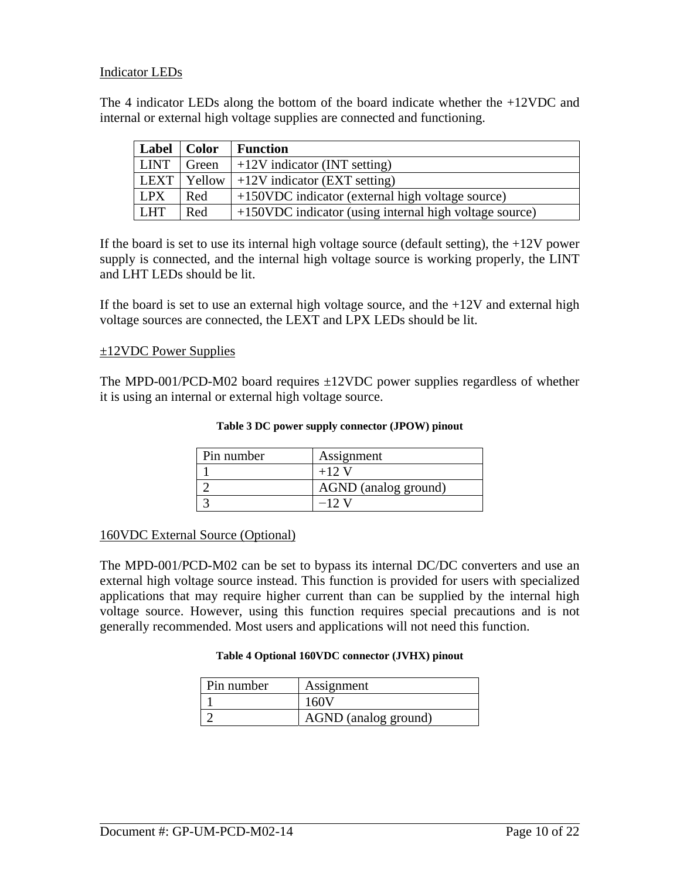### Indicator LEDs

The 4 indicator LEDs along the bottom of the board indicate whether the +12VDC and internal or external high voltage supplies are connected and functioning.

| Label             | <b>Color</b> | <b>Function</b>                                        |
|-------------------|--------------|--------------------------------------------------------|
| <b>LINT</b>       | Green        | $+12V$ indicator (INT setting)                         |
| LEXT <sub>1</sub> | Yellow       | $+12V$ indicator (EXT setting)                         |
| <b>LPX</b>        | Red          | +150VDC indicator (external high voltage source)       |
| <b>LHT</b>        | Red          | +150VDC indicator (using internal high voltage source) |

If the board is set to use its internal high voltage source (default setting), the  $+12V$  power supply is connected, and the internal high voltage source is working properly, the LINT and LHT LEDs should be lit.

If the board is set to use an external high voltage source, and the  $+12V$  and external high voltage sources are connected, the LEXT and LPX LEDs should be lit.

#### ±12VDC Power Supplies

<span id="page-9-0"></span>The MPD-001/PCD-M02 board requires  $\pm$ 12VDC power supplies regardless of whether it is using an internal or external high voltage source.

| Pin number | Assignment           |
|------------|----------------------|
|            | $+12$ V              |
|            | AGND (analog ground) |
|            | –12 V                |

#### 160VDC External Source (Optional)

<span id="page-9-1"></span>The MPD-001/PCD-M02 can be set to bypass its internal DC/DC converters and use an external high voltage source instead. This function is provided for users with specialized applications that may require higher current than can be supplied by the internal high voltage source. However, using this function requires special precautions and is not generally recommended. Most users and applications will not need this function.

#### **Table 4 Optional 160VDC connector (JVHX) pinout**

| Pin number | Assignment           |
|------------|----------------------|
|            | 160V                 |
|            | AGND (analog ground) |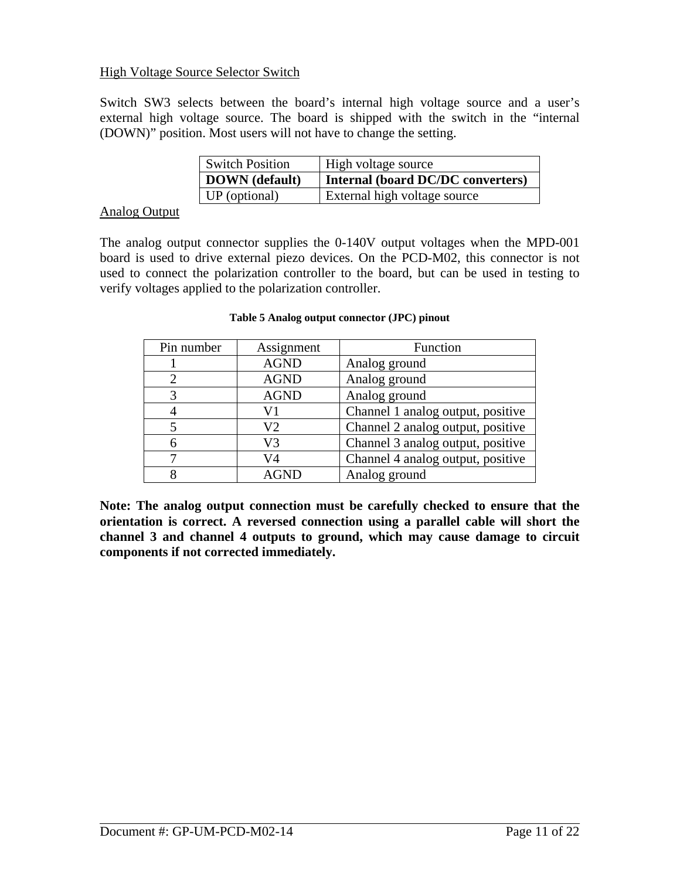## High Voltage Source Selector Switch

Switch SW3 selects between the board's internal high voltage source and a user's external high voltage source. The board is shipped with the switch in the "internal (DOWN)" position. Most users will not have to change the setting.

| <b>Switch Position</b> | High voltage source               |
|------------------------|-----------------------------------|
| DOWN (default)         | Internal (board DC/DC converters) |
| UP (optional)          | External high voltage source      |

#### Analog Output

<span id="page-10-0"></span>The analog output connector supplies the 0-140V output voltages when the MPD-001 board is used to drive external piezo devices. On the PCD-M02, this connector is not used to connect the polarization controller to the board, but can be used in testing to verify voltages applied to the polarization controller.

| Pin number | Assignment     | Function                          |
|------------|----------------|-----------------------------------|
|            | <b>AGND</b>    | Analog ground                     |
|            | <b>AGND</b>    | Analog ground                     |
| 3          | <b>AGND</b>    | Analog ground                     |
|            | V1             | Channel 1 analog output, positive |
|            | V <sub>2</sub> | Channel 2 analog output, positive |
|            | V3             | Channel 3 analog output, positive |
|            | V4             | Channel 4 analog output, positive |
|            | AGND           | Analog ground                     |

#### **Table 5 Analog output connector (JPC) pinout**

**Note: The analog output connection must be carefully checked to ensure that the orientation is correct. A reversed connection using a parallel cable will short the channel 3 and channel 4 outputs to ground, which may cause damage to circuit components if not corrected immediately.**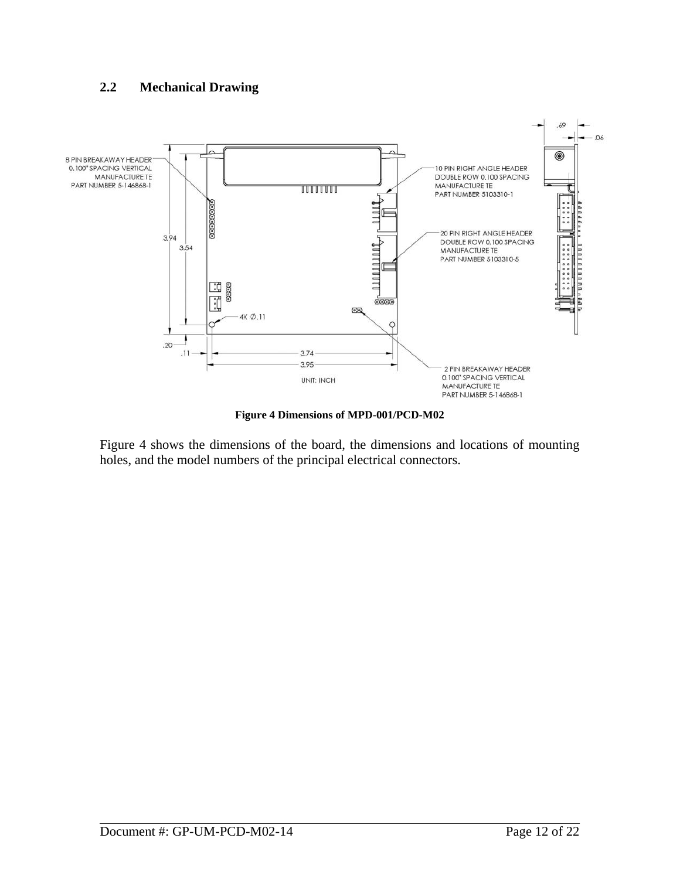## <span id="page-11-0"></span>**2.2 Mechanical Drawing**



**Figure 4 Dimensions of MPD-001/PCD-M02** 

<span id="page-11-1"></span>[Figure 4](#page-11-1) shows the dimensions of the board, the dimensions and locations of mounting holes, and the model numbers of the principal electrical connectors.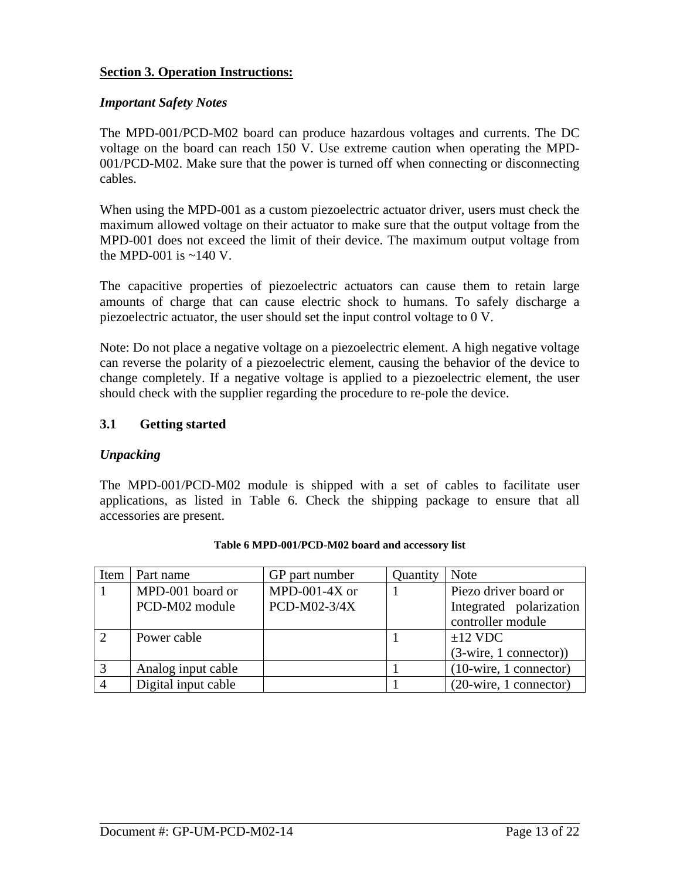## <span id="page-12-0"></span>**Section 3. Operation Instructions:**

## *Important Safety Notes*

The MPD-001/PCD-M02 board can produce hazardous voltages and currents. The DC voltage on the board can reach 150 V. Use extreme caution when operating the MPD-001/PCD-M02. Make sure that the power is turned off when connecting or disconnecting cables.

When using the MPD-001 as a custom piezoelectric actuator driver, users must check the maximum allowed voltage on their actuator to make sure that the output voltage from the MPD-001 does not exceed the limit of their device. The maximum output voltage from the MPD-001 is  $\approx 140$  V.

The capacitive properties of piezoelectric actuators can cause them to retain large amounts of charge that can cause electric shock to humans. To safely discharge a piezoelectric actuator, the user should set the input control voltage to 0 V.

Note: Do not place a negative voltage on a piezoelectric element. A high negative voltage can reverse the polarity of a piezoelectric element, causing the behavior of the device to change completely. If a negative voltage is applied to a piezoelectric element, the user should check with the supplier regarding the procedure to re-pole the device.

## **3.1 Getting started**

## *Unpacking*

The MPD-001/PCD-M02 module is shipped with a set of cables to facilitate user applications, as listed in [Table 6](#page-12-1). Check the shipping package to ensure that all accessories are present.

<span id="page-12-1"></span>

| Item          | Part name           | GP part number | Quantity | <b>Note</b>                             |
|---------------|---------------------|----------------|----------|-----------------------------------------|
|               | MPD-001 board or    | MPD-001-4X or  |          | Piezo driver board or                   |
|               | PCD-M02 module      | PCD-M02-3/4X   |          | Integrated polarization                 |
|               |                     |                |          | controller module                       |
| $\mathcal{L}$ | Power cable         |                |          | $\pm 12$ VDC                            |
|               |                     |                |          | $(3\text{-wire}, 1 \text{ connector})$  |
| 3             | Analog input cable  |                |          | $(10\text{-wire}, 1 \text{ connector})$ |
|               | Digital input cable |                |          | $(20\text{-wire}, 1 \text{ connector})$ |

#### **Table 6 MPD-001/PCD-M02 board and accessory list**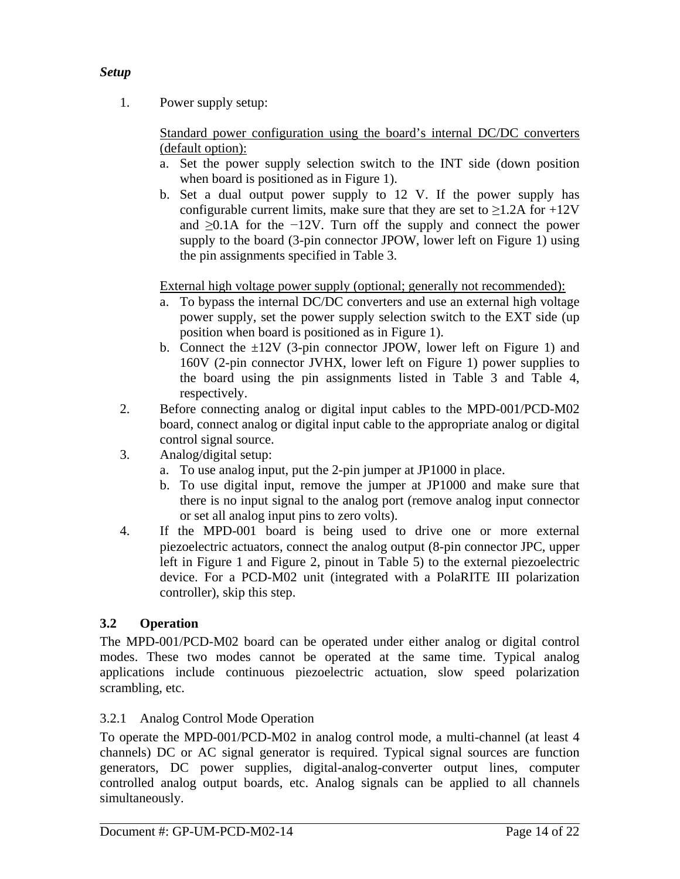## <span id="page-13-0"></span>*Setup*

1. Power supply setup:

Standard power configuration using the board's internal DC/DC converters (default option):

- a. Set the power supply selection switch to the INT side (down position when board is positioned as in [Figure 1](#page-5-1)).
- b. Set a dual output power supply to 12 V. If the power supply has configurable current limits, make sure that they are set to  $\geq$ 1.2A for +12V and ≥0.1A for the −12V. Turn off the supply and connect the power supply to the board (3-pin connector JPOW, lower left on [Figure 1](#page-5-1)) using the pin assignments specified in [Table 3.](#page-9-0)

External high voltage power supply (optional; generally not recommended):

- a. To bypass the internal DC/DC converters and use an external high voltage power supply, set the power supply selection switch to the EXT side (up position when board is positioned as in [Figure 1\)](#page-5-1).
- b. Connect the  $\pm 12V$  (3-pin connector JPOW, lower left on [Figure 1\)](#page-5-1) and 160V (2-pin connector JVHX, lower left on [Figure 1](#page-5-1)) power supplies to the board using the pin assignments listed in [Table 3](#page-9-0) and [Table 4,](#page-9-1) respectively.
- 2. Before connecting analog or digital input cables to the MPD-001/PCD-M02 board, connect analog or digital input cable to the appropriate analog or digital control signal source.
- 3. Analog/digital setup:
	- a. To use analog input, put the 2-pin jumper at JP1000 in place.
	- b. To use digital input, remove the jumper at JP1000 and make sure that there is no input signal to the analog port (remove analog input connector or set all analog input pins to zero volts).
- 4. If the MPD-001 board is being used to drive one or more external piezoelectric actuators, connect the analog output (8-pin connector JPC, upper left in [Figure 1](#page-5-1) and [Figure 2,](#page-6-1) pinout in [Table 5\)](#page-10-0) to the external piezoelectric device. For a PCD-M02 unit (integrated with a PolaRITE III polarization controller), skip this step.

## **3.2 Operation**

The MPD-001/PCD-M02 board can be operated under either analog or digital control modes. These two modes cannot be operated at the same time. Typical analog applications include continuous piezoelectric actuation, slow speed polarization scrambling, etc.

## 3.2.1 Analog Control Mode Operation

To operate the MPD-001/PCD-M02 in analog control mode, a multi-channel (at least 4 channels) DC or AC signal generator is required. Typical signal sources are function generators, DC power supplies, digital-analog-converter output lines, computer controlled analog output boards, etc. Analog signals can be applied to all channels simultaneously.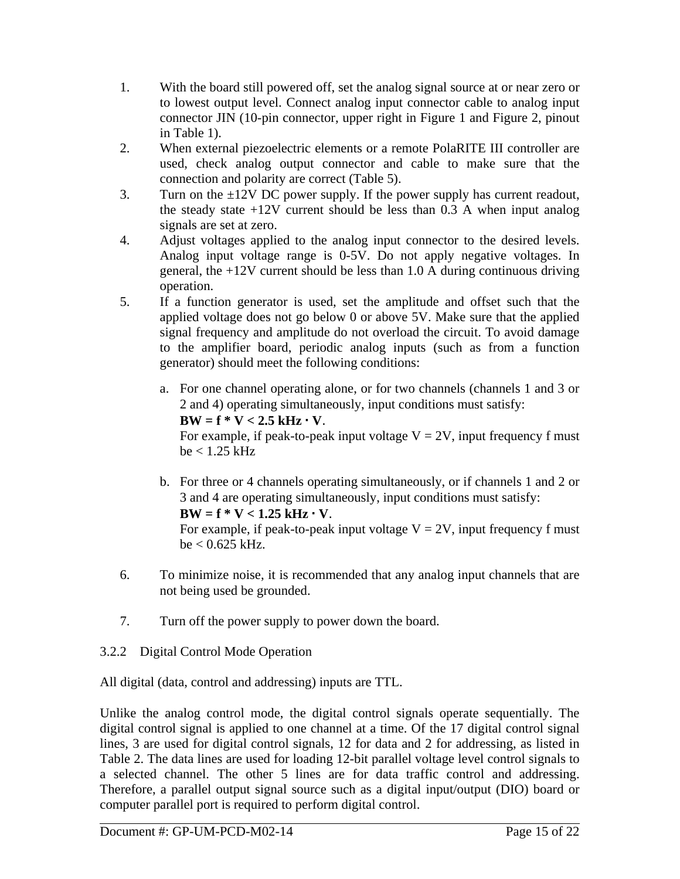- <span id="page-14-0"></span>1. With the board still powered off, set the analog signal source at or near zero or to lowest output level. Connect analog input connector cable to analog input connector JIN (10-pin connector, upper right in [Figure 1](#page-5-1) and [Figure 2,](#page-6-1) pinout in [Table 1\)](#page-7-0).
- 2. When external piezoelectric elements or a remote PolaRITE III controller are used, check analog output connector and cable to make sure that the connection and polarity are correct [\(Table 5\)](#page-10-0).
- 3. Turn on the  $\pm 12V$  DC power supply. If the power supply has current readout, the steady state  $+12V$  current should be less than 0.3 A when input analog signals are set at zero.
- 4. Adjust voltages applied to the analog input connector to the desired levels. Analog input voltage range is 0-5V. Do not apply negative voltages. In general, the +12V current should be less than 1.0 A during continuous driving operation.
- 5. If a function generator is used, set the amplitude and offset such that the applied voltage does not go below 0 or above 5V. Make sure that the applied signal frequency and amplitude do not overload the circuit. To avoid damage to the amplifier board, periodic analog inputs (such as from a function generator) should meet the following conditions:
	- a. For one channel operating alone, or for two channels (channels 1 and 3 or 2 and 4) operating simultaneously, input conditions must satisfy:  $BW = f * V < 2.5$  kHz  $\cdot$  V. For example, if peak-to-peak input voltage  $V = 2V$ , input frequency f must  $be < 1.25$  kHz
	- b. For three or 4 channels operating simultaneously, or if channels 1 and 2 or 3 and 4 are operating simultaneously, input conditions must satisfy:  $BW = f * V < 1.25 kHz \cdot V$ .

For example, if peak-to-peak input voltage  $V = 2V$ , input frequency f must be < 0.625 kHz.

- 6. To minimize noise, it is recommended that any analog input channels that are not being used be grounded.
- 7. Turn off the power supply to power down the board.
- 3.2.2 Digital Control Mode Operation

All digital (data, control and addressing) inputs are TTL.

Unlike the analog control mode, the digital control signals operate sequentially. The digital control signal is applied to one channel at a time. Of the 17 digital control signal lines, 3 are used for digital control signals, 12 for data and 2 for addressing, as listed in [Table 2.](#page-7-1) The data lines are used for loading 12-bit parallel voltage level control signals to a selected channel. The other 5 lines are for data traffic control and addressing. Therefore, a parallel output signal source such as a digital input/output (DIO) board or computer parallel port is required to perform digital control.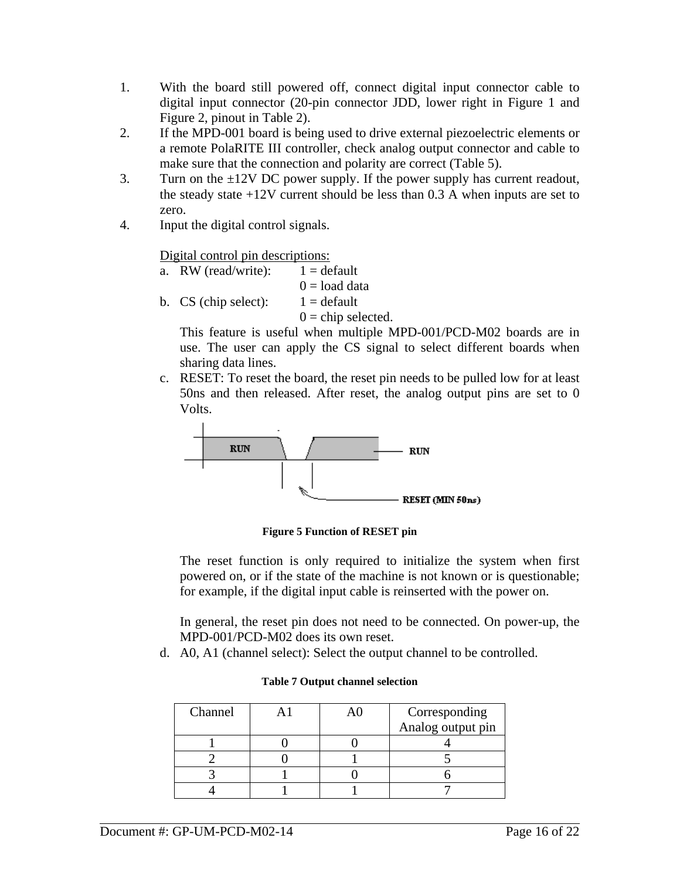- 1. With the board still powered off, connect digital input connector cable to digital input connector (20-pin connector JDD, lower right in [Figure 1](#page-5-1) and [Figure 2](#page-6-1), pinout in [Table 2\)](#page-7-1).
- 2. If the MPD-001 board is being used to drive external piezoelectric elements or a remote PolaRITE III controller, check analog output connector and cable to make sure that the connection and polarity are correct ([Table 5](#page-10-0)).
- 3. Turn on the  $\pm 12V$  DC power supply. If the power supply has current readout, the steady state +12V current should be less than 0.3 A when inputs are set to zero.
- 4. Input the digital control signals.

Digital control pin descriptions:

- a. RW (read/write):  $1 = \text{default}$  $0 =$ load data
- b. CS (chip select):  $1 = \text{default}$

 $0 =$ chip selected.

This feature is useful when multiple MPD-001/PCD-M02 boards are in use. The user can apply the CS signal to select different boards when sharing data lines.

c. RESET: To reset the board, the reset pin needs to be pulled low for at least 50ns and then released. After reset, the analog output pins are set to 0 Volts.



**Figure 5 Function of RESET pin** 

The reset function is only required to initialize the system when first powered on, or if the state of the machine is not known or is questionable; for example, if the digital input cable is reinserted with the power on.

In general, the reset pin does not need to be connected. On power-up, the MPD-001/PCD-M02 does its own reset.

d. A0, A1 (channel select): Select the output channel to be controlled.

| Channel |  | Corresponding     |
|---------|--|-------------------|
|         |  | Analog output pin |
|         |  |                   |
|         |  |                   |
|         |  |                   |
|         |  |                   |

#### **Table 7 Output channel selection**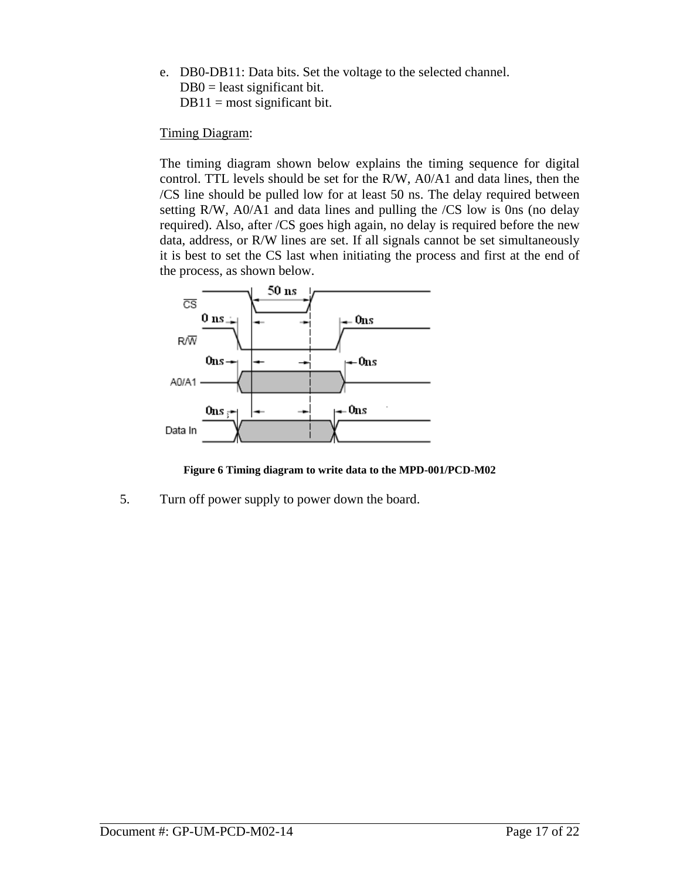e. DB0-DB11: Data bits. Set the voltage to the selected channel.  $DB0 =$  least significant bit.  $DB11 = \text{most significant bit.}$ 

## Timing Diagram:

The timing diagram shown below explains the timing sequence for digital control. TTL levels should be set for the R/W, A0/A1 and data lines, then the /CS line should be pulled low for at least 50 ns. The delay required between setting R/W, A0/A1 and data lines and pulling the /CS low is 0ns (no delay required). Also, after /CS goes high again, no delay is required before the new data, address, or R/W lines are set. If all signals cannot be set simultaneously it is best to set the CS last when initiating the process and first at the end of the process, as shown below.



**Figure 6 Timing diagram to write data to the MPD-001/PCD-M02** 

5. Turn off power supply to power down the board.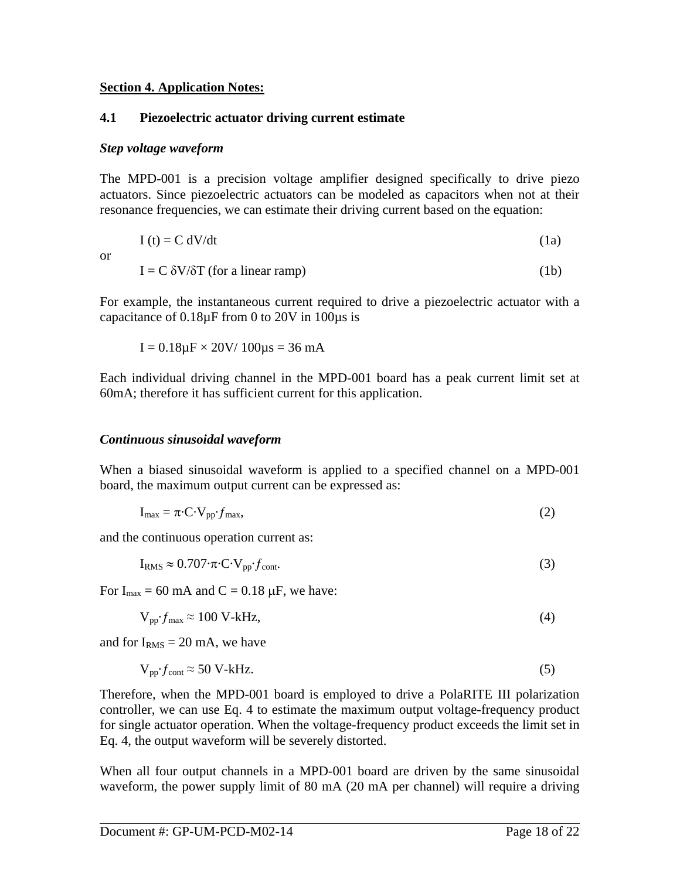#### <span id="page-17-0"></span>**Section 4. Application Notes:**

## **4.1 Piezoelectric actuator driving current estimate**

#### *Step voltage waveform*

The MPD-001 is a precision voltage amplifier designed specifically to drive piezo actuators. Since piezoelectric actuators can be modeled as capacitors when not at their resonance frequencies, we can estimate their driving current based on the equation:

$$
I(t) = C dV/dt
$$
 (1a)

or

 $I = C \delta V / \delta T$  (for a linear ramp) (1b)

For example, the instantaneous current required to drive a piezoelectric actuator with a capacitance of 0.18µF from 0 to 20V in 100µs is

$$
I = 0.18 \mu F \times 20 V / 100 \mu s = 36 mA
$$

Each individual driving channel in the MPD-001 board has a peak current limit set at 60mA; therefore it has sufficient current for this application.

### *Continuous sinusoidal waveform*

When a biased sinusoidal waveform is applied to a specified channel on a MPD-001 board, the maximum output current can be expressed as:

$$
I_{\text{max}} = \pi \cdot C \cdot V_{\text{pp}} \cdot f_{\text{max}},\tag{2}
$$

and the continuous operation current as:

$$
I_{RMS} \approx 0.707 \cdot \pi \cdot C \cdot V_{pp} \cdot f_{cont}.
$$

For  $I_{\text{max}} = 60 \text{ mA}$  and  $C = 0.18 \mu\text{F}$ , we have:

$$
V_{pp} f_{\text{max}} \approx 100 \text{ V-kHz},\tag{4}
$$

and for  $I<sub>RMS</sub> = 20$  mA, we have

$$
V_{pp} f_{cont} \approx 50 \text{ V-kHz.}
$$

Therefore, when the MPD-001 board is employed to drive a PolaRITE III polarization controller, we can use Eq. 4 to estimate the maximum output voltage-frequency product for single actuator operation. When the voltage-frequency product exceeds the limit set in Eq. 4, the output waveform will be severely distorted.

When all four output channels in a MPD-001 board are driven by the same sinusoidal waveform, the power supply limit of 80 mA (20 mA per channel) will require a driving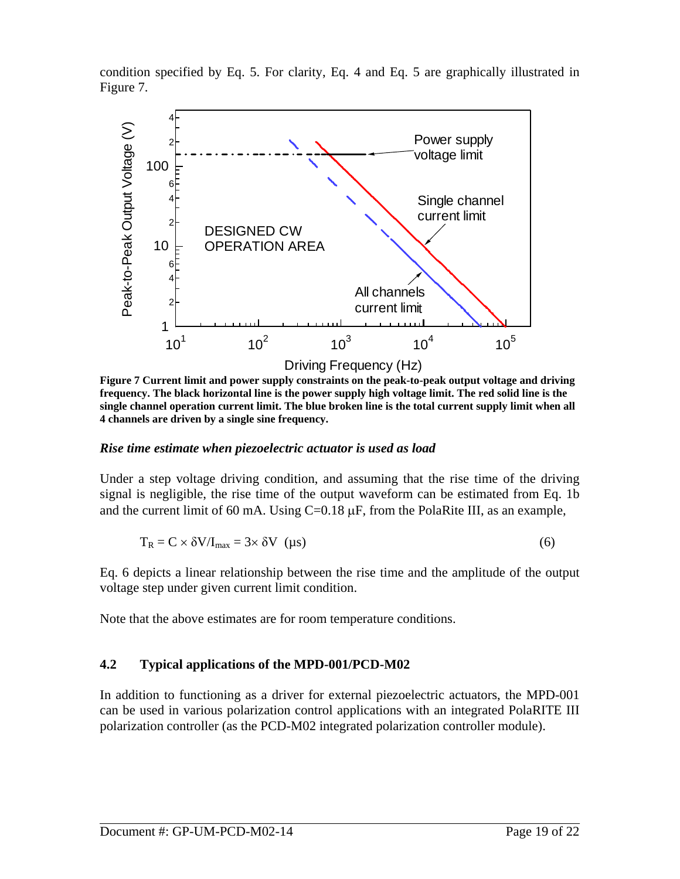<span id="page-18-0"></span>condition specified by Eq. 5. For clarity, Eq. 4 and Eq. 5 are graphically illustrated in [Figure 7](#page-18-1).



<span id="page-18-1"></span>**Figure 7 Current limit and power supply constraints on the peak-to-peak output voltage and driving frequency. The black horizontal line is the power supply high voltage limit. The red solid line is the single channel operation current limit. The blue broken line is the total current supply limit when all 4 channels are driven by a single sine frequency.** 

## *Rise time estimate when piezoelectric actuator is used as load*

Under a step voltage driving condition, and assuming that the rise time of the driving signal is negligible, the rise time of the output waveform can be estimated from Eq. 1b and the current limit of 60 mA. Using  $C=0.18 \mu F$ , from the PolaRite III, as an example,

$$
T_R = C \times \delta V / I_{\text{max}} = 3 \times \delta V \quad (\mu s)
$$
 (6)

Eq. 6 depicts a linear relationship between the rise time and the amplitude of the output voltage step under given current limit condition.

Note that the above estimates are for room temperature conditions.

## **4.2 Typical applications of the MPD-001/PCD-M02**

In addition to functioning as a driver for external piezoelectric actuators, the MPD-001 can be used in various polarization control applications with an integrated PolaRITE III polarization controller (as the PCD-M02 integrated polarization controller module).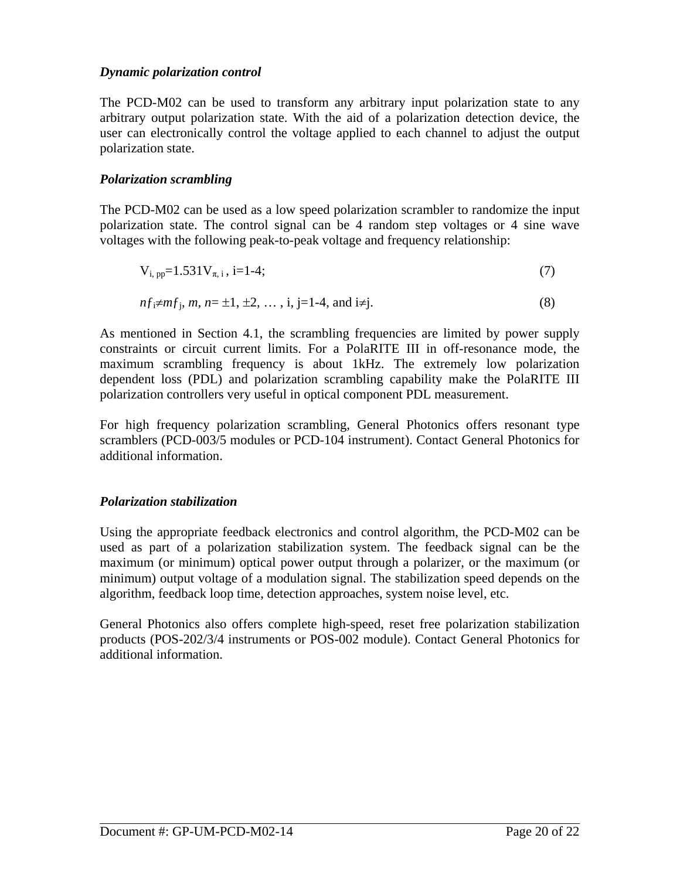## *Dynamic polarization control*

The PCD-M02 can be used to transform any arbitrary input polarization state to any arbitrary output polarization state. With the aid of a polarization detection device, the user can electronically control the voltage applied to each channel to adjust the output polarization state.

## *Polarization scrambling*

The PCD-M02 can be used as a low speed polarization scrambler to randomize the input polarization state. The control signal can be 4 random step voltages or 4 sine wave voltages with the following peak-to-peak voltage and frequency relationship:

$$
V_{i, pp} = 1.531 V_{\pi, i}, i = 1-4;
$$
\n(7)

$$
nf_1 \neq mf_j, \, m, \, n = \pm 1, \, \pm 2, \, \dots, \, i, \, j = 1-4, \, \text{and } i \neq j. \tag{8}
$$

As mentioned in Section 4.1, the scrambling frequencies are limited by power supply constraints or circuit current limits. For a PolaRITE III in off-resonance mode, the maximum scrambling frequency is about 1kHz. The extremely low polarization dependent loss (PDL) and polarization scrambling capability make the PolaRITE III polarization controllers very useful in optical component PDL measurement.

For high frequency polarization scrambling, General Photonics offers resonant type scramblers (PCD-003/5 modules or PCD-104 instrument). Contact General Photonics for additional information.

## *Polarization stabilization*

Using the appropriate feedback electronics and control algorithm, the PCD-M02 can be used as part of a polarization stabilization system. The feedback signal can be the maximum (or minimum) optical power output through a polarizer, or the maximum (or minimum) output voltage of a modulation signal. The stabilization speed depends on the algorithm, feedback loop time, detection approaches, system noise level, etc.

General Photonics also offers complete high-speed, reset free polarization stabilization products (POS-202/3/4 instruments or POS-002 module). Contact General Photonics for additional information.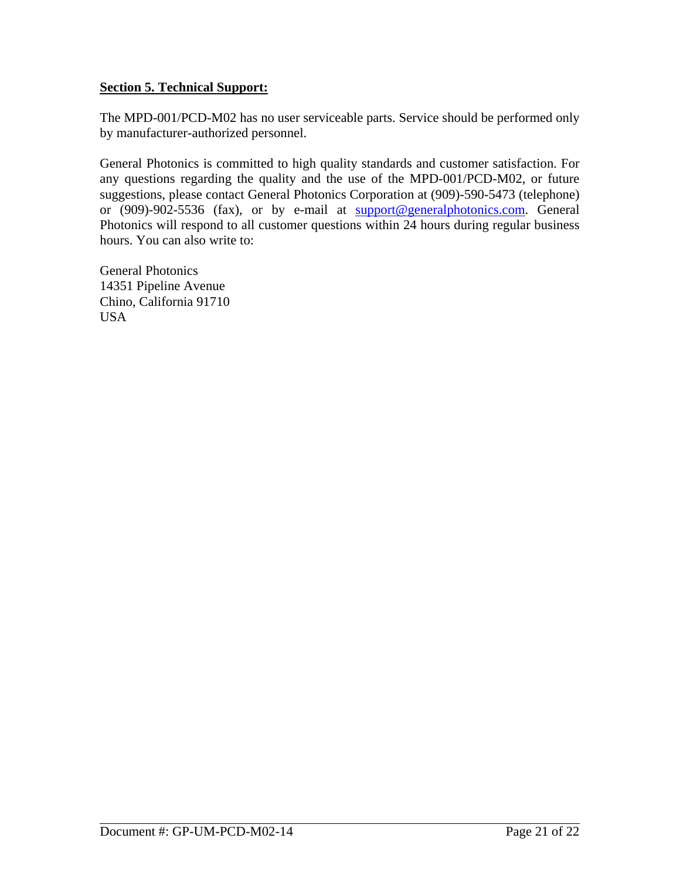## <span id="page-20-0"></span>**Section 5. Technical Support:**

The MPD-001/PCD-M02 has no user serviceable parts. Service should be performed only by manufacturer-authorized personnel.

General Photonics is committed to high quality standards and customer satisfaction. For any questions regarding the quality and the use of the MPD-001/PCD-M02, or future suggestions, please contact General Photonics Corporation at (909)-590-5473 (telephone) or (909)-902-5536 (fax), or by e-mail at [support@generalphotonics.com.](mailto:support@generalphotonics.com) General Photonics will respond to all customer questions within 24 hours during regular business hours. You can also write to:

General Photonics 14351 Pipeline Avenue Chino, California 91710 USA